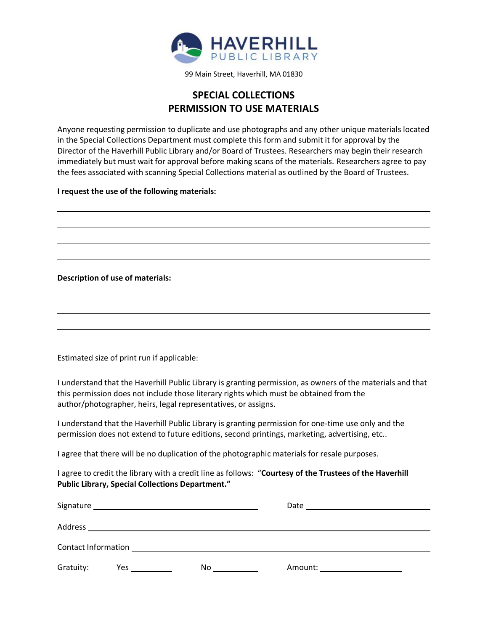

99 Main Street, Haverhill, MA 01830

## **SPECIAL COLLECTIONS PERMISSION TO USE MATERIALS**

Anyone requesting permission to duplicate and use photographs and any other unique materials located in the Special Collections Department must complete this form and submit it for approval by the Director of the Haverhill Public Library and/or Board of Trustees. Researchers may begin their research immediately but must wait for approval before making scans of the materials. Researchers agree to pay the fees associated with scanning Special Collections material as outlined by the Board of Trustees.

## **I request the use of the following materials:**

**Description of use of materials:**

Estimated size of print run if applicable:

I understand that the Haverhill Public Library is granting permission, as owners of the materials and that this permission does not include those literary rights which must be obtained from the author/photographer, heirs, legal representatives, or assigns.

I understand that the Haverhill Public Library is granting permission for one-time use only and the permission does not extend to future editions, second printings, marketing, advertising, etc..

I agree that there will be no duplication of the photographic materials for resale purposes.

I agree to credit the library with a credit line as follows: "**Courtesy of the Trustees of the Haverhill Public Library, Special Collections Department."**

| Gratuity: |  | No. | Amount: ______________________ |  |
|-----------|--|-----|--------------------------------|--|